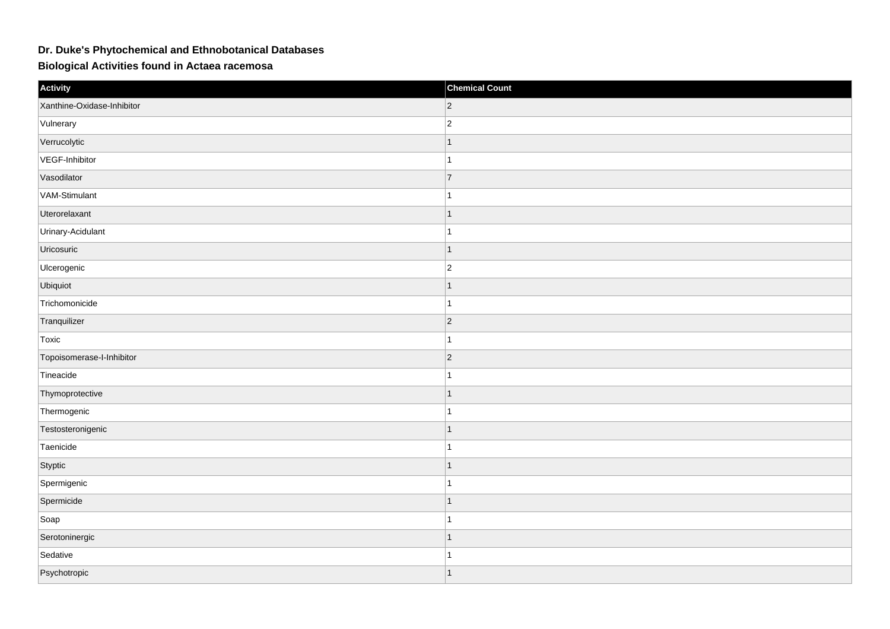## **Dr. Duke's Phytochemical and Ethnobotanical Databases**

## **Biological Activities found in Actaea racemosa**

| Activity                   | <b>Chemical Count</b> |
|----------------------------|-----------------------|
| Xanthine-Oxidase-Inhibitor | $ 2\rangle$           |
| Vulnerary                  | $ 2\rangle$           |
| Verrucolytic               | $\overline{1}$        |
| VEGF-Inhibitor             | 1                     |
| Vasodilator                | $\overline{7}$        |
| VAM-Stimulant              | 1                     |
| Uterorelaxant              | 1                     |
| Urinary-Acidulant          | $\mathbf{1}$          |
| Uricosuric                 | $\overline{1}$        |
| Ulcerogenic                | $ 2\rangle$           |
| Ubiquiot                   | $\mathbf{1}$          |
| Trichomonicide             | 1                     |
| Tranquilizer               | $ 2\rangle$           |
| Toxic                      | $\mathbf{1}$          |
| Topoisomerase-I-Inhibitor  | $ 2\rangle$           |
| Tineacide                  | 1                     |
| Thymoprotective            | $\mathbf{1}$          |
| Thermogenic                | 1                     |
| Testosteronigenic          | $\mathbf{1}$          |
| Taenicide                  | $\mathbf{1}$          |
| Styptic                    | $\overline{1}$        |
| Spermigenic                | 1                     |
| Spermicide                 | $\mathbf{1}$          |
| Soap                       | 1                     |
| Serotoninergic             | $\mathbf{1}$          |
| Sedative                   | 1                     |
| Psychotropic               | $\overline{1}$        |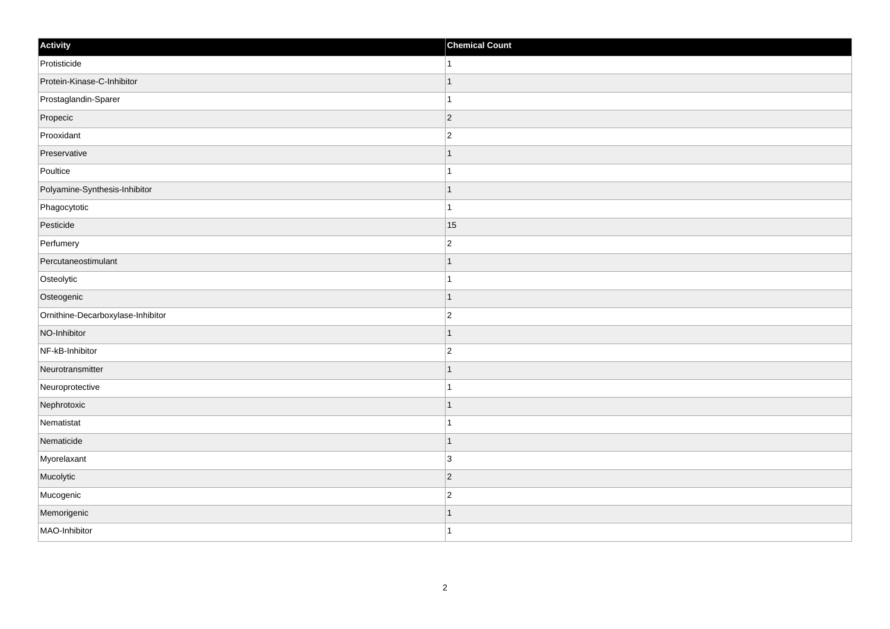| Activity                          | <b>Chemical Count</b> |
|-----------------------------------|-----------------------|
| Protisticide                      | 1                     |
| Protein-Kinase-C-Inhibitor        | $\overline{1}$        |
| Prostaglandin-Sparer              | 1                     |
| Propecic                          | $ 2\rangle$           |
| Prooxidant                        | $ 2\rangle$           |
| Preservative                      | $\mathbf 1$           |
| Poultice                          | $\overline{1}$        |
| Polyamine-Synthesis-Inhibitor     | $\overline{1}$        |
| Phagocytotic                      | $\overline{1}$        |
| Pesticide                         | 15                    |
| Perfumery                         | $ 2\rangle$           |
| Percutaneostimulant               |                       |
| Osteolytic                        |                       |
| Osteogenic                        | $\mathbf{1}$          |
| Ornithine-Decarboxylase-Inhibitor | $ 2\rangle$           |
| NO-Inhibitor                      | $\mathbf{1}$          |
| NF-kB-Inhibitor                   | $\overline{2}$        |
| Neurotransmitter                  | $\overline{1}$        |
| Neuroprotective                   | $\overline{1}$        |
| Nephrotoxic                       | $\mathbf{1}$          |
| Nematistat                        |                       |
| Nematicide                        | $\mathbf{1}$          |
| Myorelaxant                       | 3                     |
| Mucolytic                         | $\vert$ 2             |
| Mucogenic                         | $ 2\rangle$           |
| Memorigenic                       | $\mathbf 1$           |
| MAO-Inhibitor                     | $\mathbf{1}$          |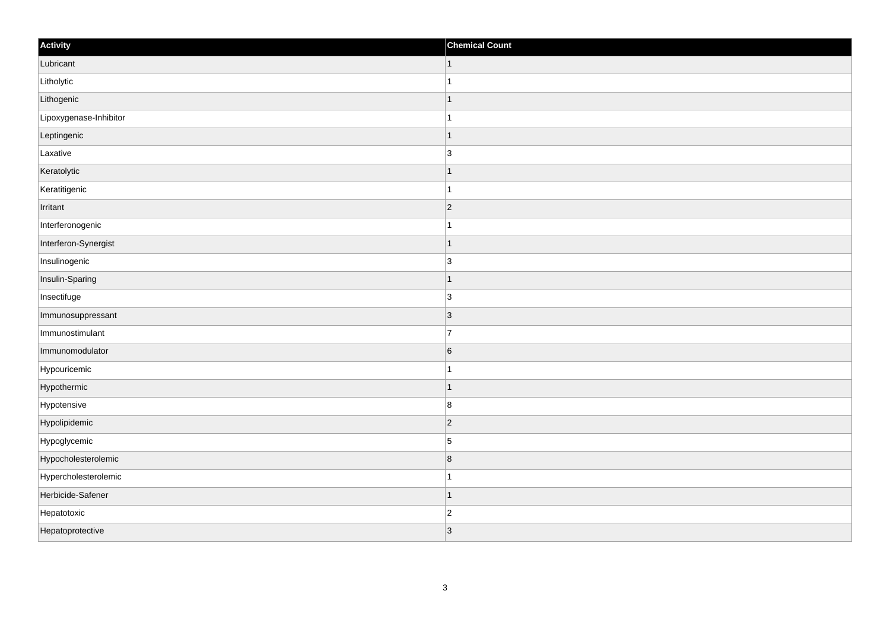| Activity               | <b>Chemical Count</b>    |
|------------------------|--------------------------|
| Lubricant              | $\vert$ 1                |
| Litholytic             |                          |
| Lithogenic             |                          |
| Lipoxygenase-Inhibitor |                          |
| Leptingenic            |                          |
| Laxative               | $\overline{3}$           |
| Keratolytic            | $\overline{\phantom{a}}$ |
| Keratitigenic          | 1                        |
| Irritant               | $\vert$ 2                |
| Interferonogenic       |                          |
| Interferon-Synergist   | $\overline{\phantom{a}}$ |
| Insulinogenic          | $\overline{3}$           |
| Insulin-Sparing        | 1                        |
| Insectifuge            | $\overline{3}$           |
| Immunosuppressant      | $\vert 3 \vert$          |
| Immunostimulant        | $\overline{7}$           |
| Immunomodulator        | $6\phantom{a}$           |
| Hypouricemic           |                          |
| Hypothermic            | 1                        |
| Hypotensive            | 8                        |
| Hypolipidemic          | $\vert$ 2                |
| Hypoglycemic           | $\overline{5}$           |
| Hypocholesterolemic    | $\overline{8}$           |
| Hypercholesterolemic   |                          |
| Herbicide-Safener      | 1                        |
| Hepatotoxic            | $\overline{c}$           |
| Hepatoprotective       | 3                        |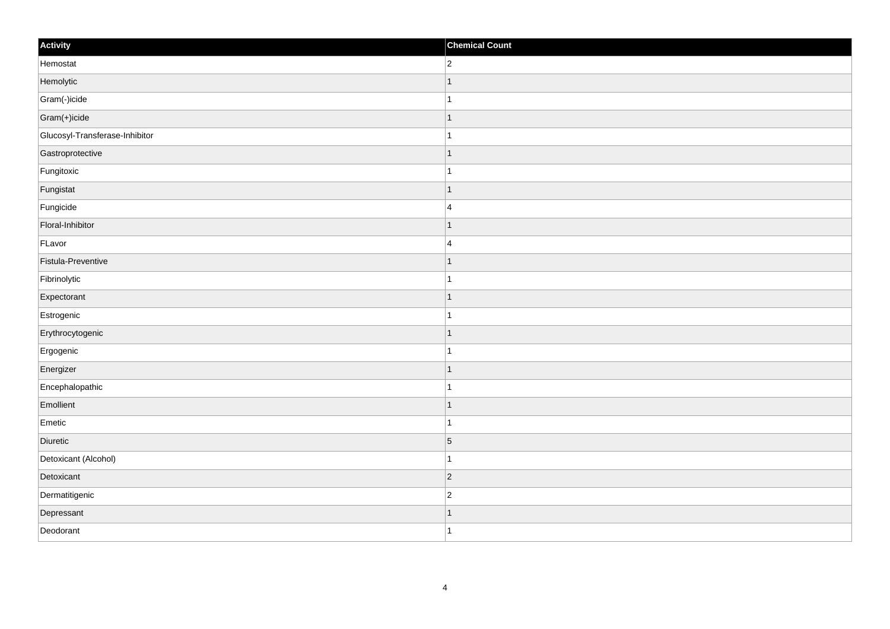| Activity                       | <b>Chemical Count</b> |
|--------------------------------|-----------------------|
| Hemostat                       | $\overline{2}$        |
| Hemolytic                      | $\overline{1}$        |
| Gram(-)icide                   | 1                     |
| Gram(+)icide                   | $\mathbf 1$           |
| Glucosyl-Transferase-Inhibitor | $\mathbf{1}$          |
| Gastroprotective               | $\mathbf 1$           |
| Fungitoxic                     | $\mathbf{1}$          |
| Fungistat                      | $\overline{1}$        |
| Fungicide                      | $\overline{4}$        |
| Floral-Inhibitor               | $\overline{1}$        |
| FLavor                         | $\overline{4}$        |
| Fistula-Preventive             | $\mathbf 1$           |
| Fibrinolytic                   | $\mathbf{1}$          |
| Expectorant                    | 1                     |
| Estrogenic                     |                       |
| Erythrocytogenic               | $\mathbf{1}$          |
| Ergogenic                      | $\mathbf 1$           |
| Energizer                      | $\vert$ 1             |
| Encephalopathic                | $\mathbf{1}$          |
| Emollient                      | $\mathbf 1$           |
| Emetic                         | $\mathbf{1}$          |
| Diuretic                       | $\vert 5 \vert$       |
| Detoxicant (Alcohol)           | 1                     |
| Detoxicant                     | $ 2\rangle$           |
| Dermatitigenic                 | $\overline{2}$        |
| Depressant                     | 1                     |
| Deodorant                      | $\overline{1}$        |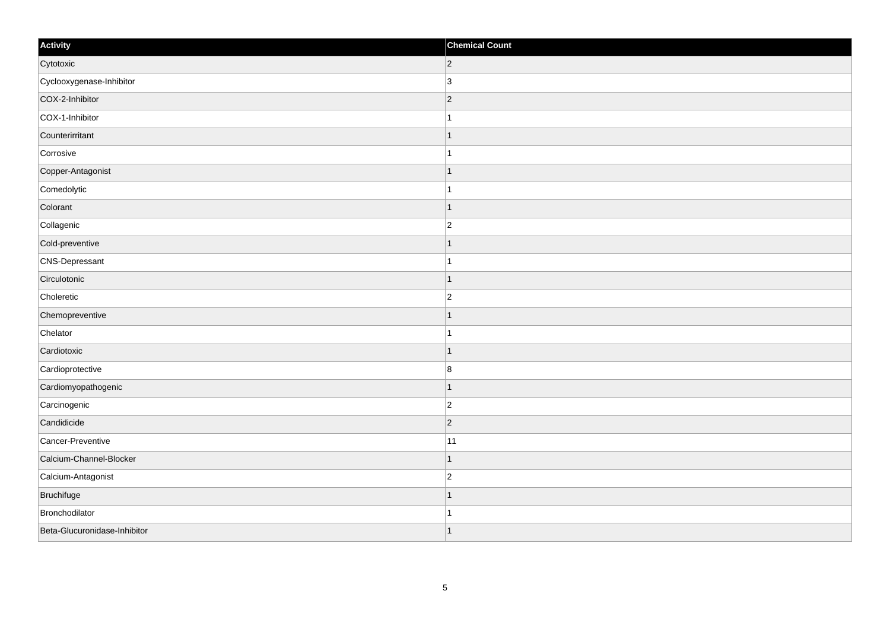| Activity                     | <b>Chemical Count</b> |
|------------------------------|-----------------------|
| Cytotoxic                    | $ 2\rangle$           |
| Cyclooxygenase-Inhibitor     | 3                     |
| COX-2-Inhibitor              | $ 2\rangle$           |
| COX-1-Inhibitor              | -1                    |
| Counterirritant              |                       |
| Corrosive                    |                       |
| Copper-Antagonist            | 1                     |
| Comedolytic                  | $\mathbf{1}$          |
| Colorant                     | $\mathbf 1$           |
| Collagenic                   | $\overline{c}$        |
| Cold-preventive              |                       |
| CNS-Depressant               |                       |
| Circulotonic                 | $\mathbf{1}$          |
| Choleretic                   | $\overline{c}$        |
| Chemopreventive              |                       |
| Chelator                     | $\mathbf{1}$          |
| Cardiotoxic                  |                       |
| Cardioprotective             | $\boldsymbol{8}$      |
| Cardiomyopathogenic          | $\mathbf 1$           |
| Carcinogenic                 | $\overline{c}$        |
| Candidicide                  | $ 2\rangle$           |
| Cancer-Preventive            | 11                    |
| Calcium-Channel-Blocker      |                       |
| Calcium-Antagonist           | $\overline{2}$        |
| Bruchifuge                   | $\mathbf 1$           |
| Bronchodilator               | 1                     |
| Beta-Glucuronidase-Inhibitor | $\vert$ 1             |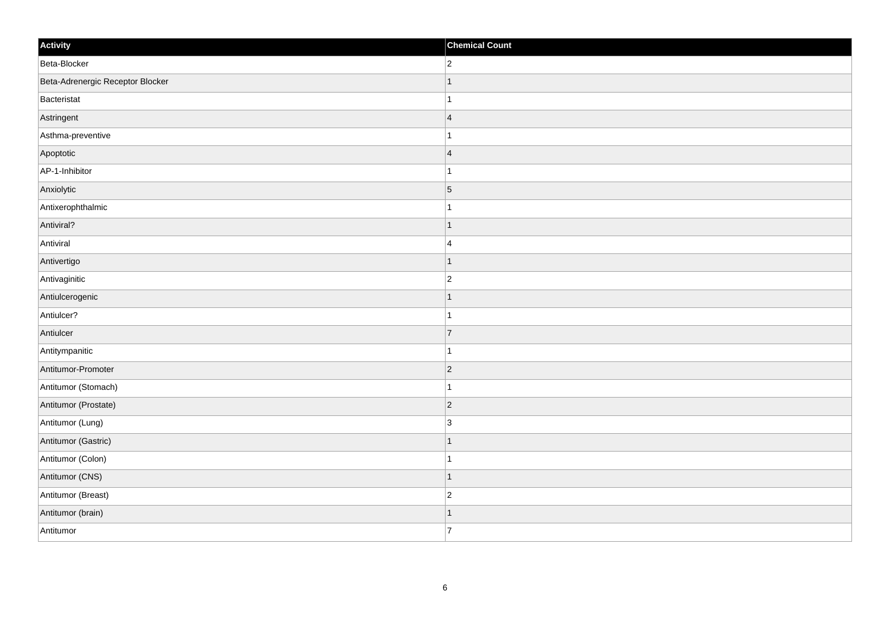| Activity                         | <b>Chemical Count</b> |
|----------------------------------|-----------------------|
| Beta-Blocker                     | $\overline{2}$        |
| Beta-Adrenergic Receptor Blocker | $\overline{1}$        |
| Bacteristat                      | 1                     |
| Astringent                       | $\overline{4}$        |
| Asthma-preventive                | $\mathbf 1$           |
| Apoptotic                        | $\overline{4}$        |
| AP-1-Inhibitor                   | 1                     |
| Anxiolytic                       | $\overline{5}$        |
| Antixerophthalmic                |                       |
| Antiviral?                       | $\overline{1}$        |
| Antiviral                        | $\overline{4}$        |
| Antivertigo                      | $\mathbf 1$           |
| Antivaginitic                    | $\overline{c}$        |
| Antiulcerogenic                  | 1                     |
| Antiulcer?                       | 1                     |
| Antiulcer                        | 7                     |
| Antitympanitic                   | $\mathbf 1$           |
| Antitumor-Promoter               | $ 2\rangle$           |
| Antitumor (Stomach)              | $\mathbf{1}$          |
| Antitumor (Prostate)             | $ 2\rangle$           |
| Antitumor (Lung)                 | 3                     |
| Antitumor (Gastric)              | $\vert$ 1             |
| Antitumor (Colon)                | $\mathbf 1$           |
| Antitumor (CNS)                  | $\vert$ 1             |
| Antitumor (Breast)               | $ 2\rangle$           |
| Antitumor (brain)                | 1                     |
| Antitumor                        | $\overline{7}$        |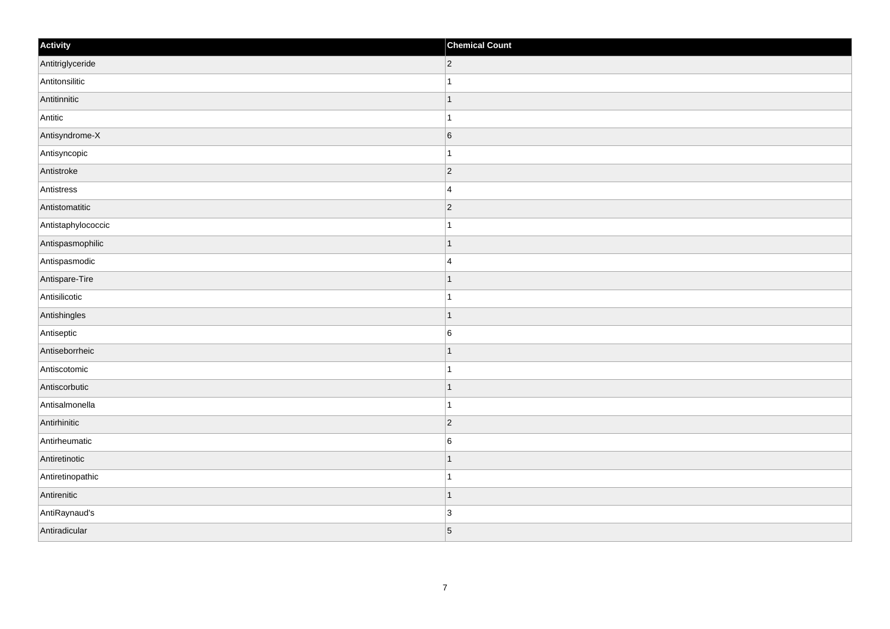| Activity           | <b>Chemical Count</b> |
|--------------------|-----------------------|
| Antitriglyceride   | $ 2\rangle$           |
| Antitonsilitic     | $\overline{1}$        |
| Antitinnitic       | $\overline{1}$        |
| Antitic            | $\mathbf{1}$          |
| Antisyndrome-X     | $\sqrt{6}$            |
| Antisyncopic       |                       |
| Antistroke         | $ 2\rangle$           |
| Antistress         | $\overline{4}$        |
| Antistomatitic     | $ 2\rangle$           |
| Antistaphylococcic | $\mathbf{1}$          |
| Antispasmophilic   | $\mathbf 1$           |
| Antispasmodic      | $\overline{4}$        |
| Antispare-Tire     | $\vert$ 1             |
| Antisilicotic      | $\mathbf{1}$          |
| Antishingles       | $\vert$ 1             |
| Antiseptic         | $\boldsymbol{6}$      |
| Antiseborrheic     | 1                     |
| Antiscotomic       | $\mathbf{1}$          |
| Antiscorbutic      | $\vert$ 1             |
| Antisalmonella     | $\mathbf{1}$          |
| Antirhinitic       | $ 2\rangle$           |
| Antirheumatic      | 6                     |
| Antiretinotic      | 1                     |
| Antiretinopathic   | $\mathbf{1}$          |
| Antirenitic        | $\vert$ 1             |
| AntiRaynaud's      | 3                     |
| Antiradicular      | $\vert$ 5             |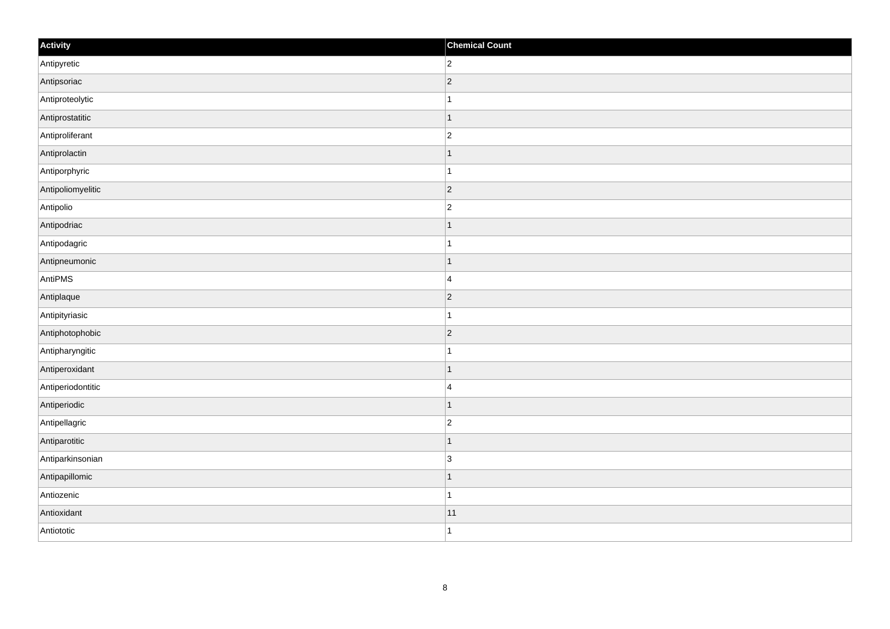| Activity          | <b>Chemical Count</b>   |
|-------------------|-------------------------|
| Antipyretic       | $\overline{2}$          |
| Antipsoriac       | $ 2\rangle$             |
| Antiproteolytic   | 1                       |
| Antiprostatitic   | $\vert$ 1               |
| Antiproliferant   | $\overline{2}$          |
| Antiprolactin     | $\overline{1}$          |
| Antiporphyric     | $\mathbf{1}$            |
| Antipoliomyelitic | $\overline{2}$          |
| Antipolio         | $\overline{c}$          |
| Antipodriac       | $\vert$ 1               |
| Antipodagric      | $\mathbf{1}$            |
| Antipneumonic     | 1                       |
| AntiPMS           | $\overline{4}$          |
| Antiplaque        | $ 2\rangle$             |
| Antipityriasic    | $\mathbf{1}$            |
| Antiphotophobic   | $ 2\rangle$             |
| Antipharyngitic   | 1                       |
| Antiperoxidant    | $\mathbf 1$             |
| Antiperiodontitic | $\overline{\mathbf{4}}$ |
| Antiperiodic      | $\vert$ 1               |
| Antipellagric     | $\overline{c}$          |
| Antiparotitic     | $\overline{1}$          |
| Antiparkinsonian  | 3                       |
| Antipapillomic    | $\mathbf 1$             |
| Antiozenic        | $\vert$ 1               |
| Antioxidant       | 11                      |
| Antiototic        | $\mathbf{1}$            |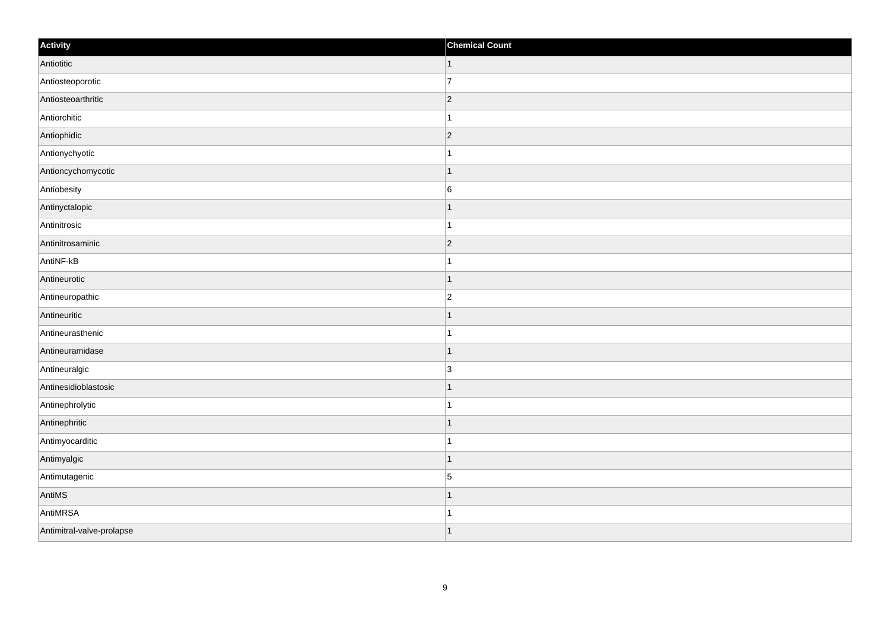| Activity                  | <b>Chemical Count</b> |
|---------------------------|-----------------------|
| Antiotitic                | $\vert$ 1             |
| Antiosteoporotic          | $\overline{7}$        |
| Antiosteoarthritic        | $ 2\rangle$           |
| Antiorchitic              | 1                     |
| Antiophidic               | $ 2\rangle$           |
| Antionychyotic            |                       |
| Antioncychomycotic        | $\vert$ 1             |
| Antiobesity               | $\boldsymbol{6}$      |
| Antinyctalopic            |                       |
| Antinitrosic              | $\mathbf{1}$          |
| Antinitrosaminic          | $\overline{2}$        |
| AntiNF-kB                 |                       |
| Antineurotic              | $\vert$ 1             |
| Antineuropathic           | $\overline{c}$        |
| Antineuritic              | -1                    |
| Antineurasthenic          | $\mathbf{1}$          |
| Antineuramidase           | $\mathbf{1}$          |
| Antineuralgic             | $\overline{3}$        |
| Antinesidioblastosic      | $\vert$ 1             |
| Antinephrolytic           | $\mathbf{1}$          |
| Antinephritic             | $\mathbf 1$           |
| Antimyocarditic           | $\mathbf{1}$          |
| Antimyalgic               | $\mathbf 1$           |
| Antimutagenic             | $\overline{5}$        |
| AntiMS                    | $\mathbf{1}$          |
| AntiMRSA                  | $\mathbf{1}$          |
| Antimitral-valve-prolapse | $\vert$ 1             |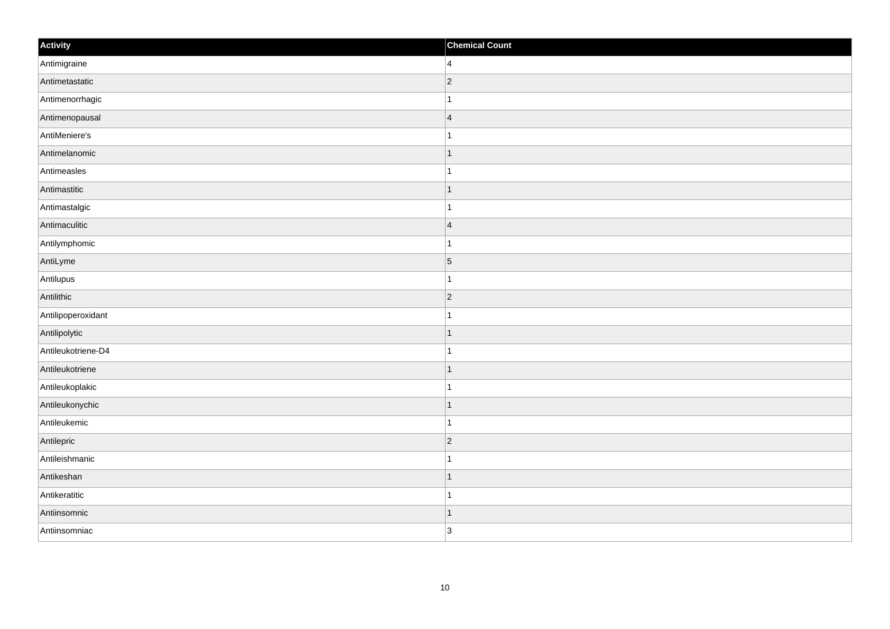| Activity           | <b>Chemical Count</b> |
|--------------------|-----------------------|
| Antimigraine       | $\vert$ 4             |
| Antimetastatic     | $ 2\rangle$           |
| Antimenorrhagic    | $\mathbf{1}$          |
| Antimenopausal     | $\vert$ 4             |
| AntiMeniere's      | $\vert$ 1             |
| Antimelanomic      | $\vert$ 1             |
| Antimeasles        | $\mathbf{1}$          |
| Antimastitic       | $\vert$ 1             |
| Antimastalgic      | $\mathbf{1}$          |
| Antimaculitic      | $\vert$ 4             |
| Antilymphomic      | $\mathbf{1}$          |
| AntiLyme           | $\vert 5 \vert$       |
| Antilupus          | $\vert$ 1             |
| Antilithic         | $ 2\rangle$           |
| Antilipoperoxidant | $\mathbf{1}$          |
| Antilipolytic      | $\vert$ 1             |
| Antileukotriene-D4 | $\mathbf{1}$          |
| Antileukotriene    | $\vert$ 1             |
| Antileukoplakic    | $\vert$ 1             |
| Antileukonychic    | $\vert$ 1             |
| Antileukemic       | $\vert$ 1             |
| Antilepric         | $ 2\rangle$           |
| Antileishmanic     | $\mathbf{1}$          |
| Antikeshan         | $\vert$ 1             |
| Antikeratitic      | $\vert$ 1             |
| Antiinsomnic       | $\vert$ 1             |
| Antiinsomniac      | 3                     |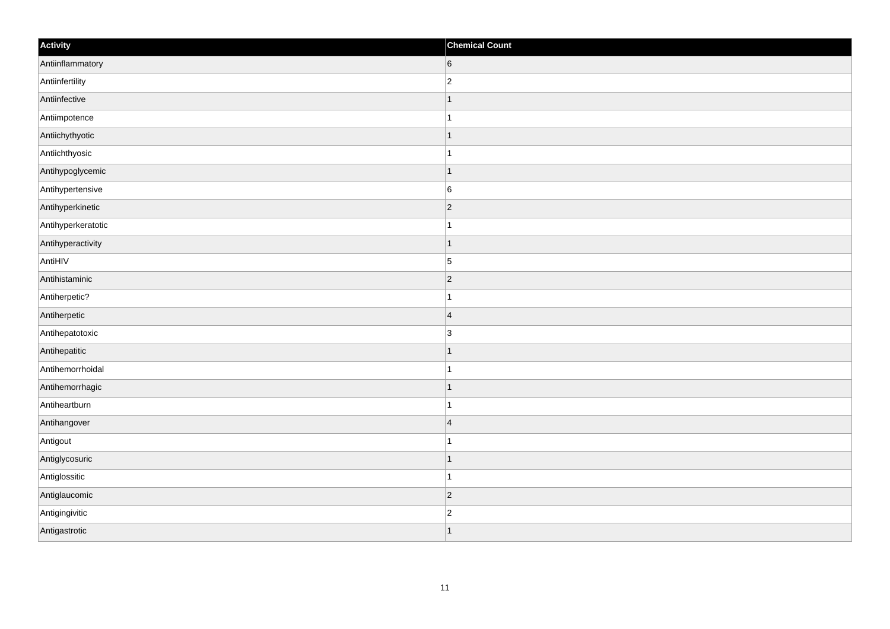| Activity           | <b>Chemical Count</b> |
|--------------------|-----------------------|
| Antiinflammatory   | 6                     |
| Antiinfertility    | $\overline{2}$        |
| Antiinfective      | $\mathbf 1$           |
| Antiimpotence      | 1                     |
| Antiichythyotic    | $\mathbf 1$           |
| Antiichthyosic     |                       |
| Antihypoglycemic   | $\vert$ 1             |
| Antihypertensive   | $6\phantom{a}$        |
| Antihyperkinetic   | $ 2\rangle$           |
| Antihyperkeratotic | $\mathbf{1}$          |
| Antihyperactivity  | $\mathbf 1$           |
| AntiHIV            | $\vert 5 \vert$       |
| Antihistaminic     | $ 2\rangle$           |
| Antiherpetic?      | 1                     |
| Antiherpetic       | $\overline{4}$        |
| Antihepatotoxic    | $\overline{3}$        |
| Antihepatitic      | 1                     |
| Antihemorrhoidal   | -1                    |
| Antihemorrhagic    | $\vert$ 1             |
| Antiheartburn      | 1                     |
| Antihangover       | $\overline{4}$        |
| Antigout           | 1                     |
| Antiglycosuric     | 1                     |
| Antiglossitic      | $\mathbf 1$           |
| Antiglaucomic      | $ 2\rangle$           |
| Antigingivitic     | $\overline{c}$        |
| Antigastrotic      | $\overline{1}$        |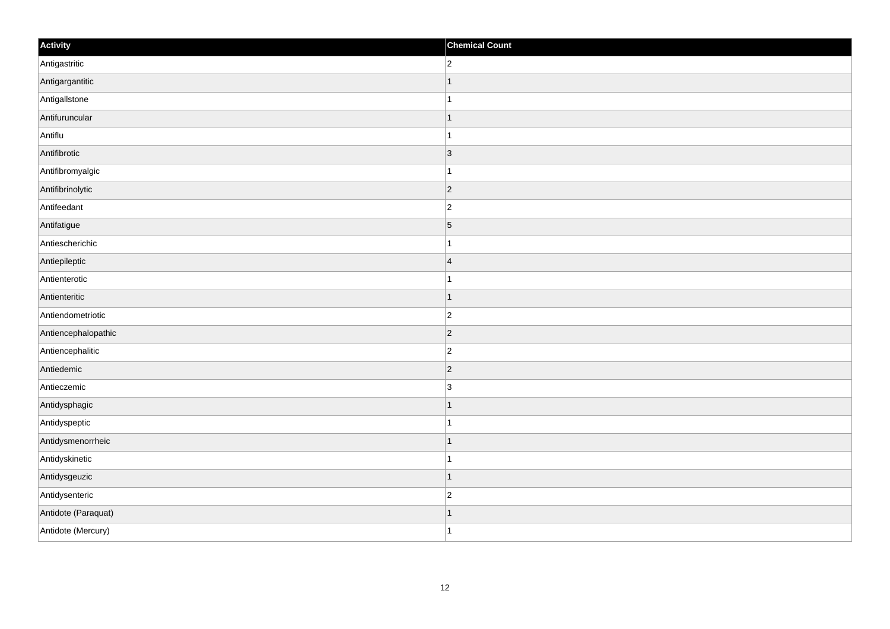| Activity            | <b>Chemical Count</b> |
|---------------------|-----------------------|
| Antigastritic       | $\overline{2}$        |
| Antigargantitic     |                       |
| Antigallstone       |                       |
| Antifuruncular      | $\mathbf 1$           |
| Antiflu             | $\mathbf{1}$          |
| Antifibrotic        | 3                     |
| Antifibromyalgic    | $\mathbf{1}$          |
| Antifibrinolytic    | $\overline{2}$        |
| Antifeedant         | $\overline{c}$        |
| Antifatigue         | $\vert$ 5             |
| Antiescherichic     | $\mathbf{1}$          |
| Antiepileptic       | $\overline{4}$        |
| Antienterotic       | $\mathbf{1}$          |
| Antienteritic       | $\mathbf 1$           |
| Antiendometriotic   | $ 2\rangle$           |
| Antiencephalopathic | $ 2\rangle$           |
| Antiencephalitic    | $\overline{c}$        |
| Antiedemic          | $ 2\rangle$           |
| Antieczemic         | $\overline{3}$        |
| Antidysphagic       | 1                     |
| Antidyspeptic       | 1                     |
| Antidysmenorrheic   | $\vert$ 1             |
| Antidyskinetic      | $\mathbf{1}$          |
| Antidysgeuzic       | $\vert$ 1             |
| Antidysenteric      | $\overline{2}$        |
| Antidote (Paraquat) | 1                     |
| Antidote (Mercury)  | $\mathbf{1}$          |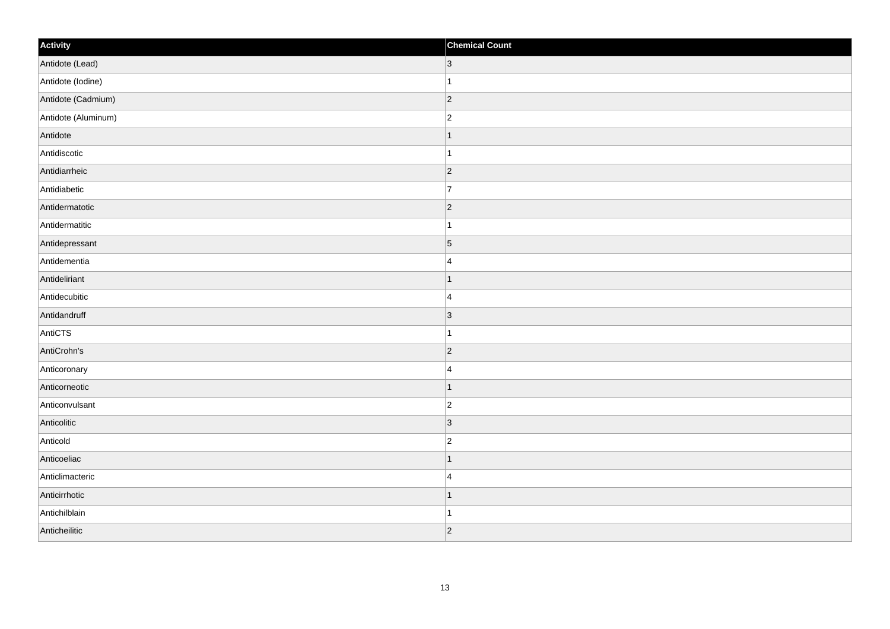| Activity            | <b>Chemical Count</b> |
|---------------------|-----------------------|
| Antidote (Lead)     | $ 3\rangle$           |
| Antidote (lodine)   | $\mathbf{1}$          |
| Antidote (Cadmium)  | $ 2\rangle$           |
| Antidote (Aluminum) | $ 2\rangle$           |
| Antidote            | $\mathbf{1}$          |
| Antidiscotic        | $\vert$ 1             |
| Antidiarrheic       | $ 2\rangle$           |
| Antidiabetic        | 17                    |
| Antidermatotic      | $ 2\rangle$           |
| Antidermatitic      | $\vert$ 1             |
| Antidepressant      | $\overline{5}$        |
| Antidementia        | 4                     |
| Antideliriant       | $\vert$ 1             |
| Antidecubitic       | 4                     |
| Antidandruff        | $ 3\rangle$           |
| AntiCTS             | $\vert$ 1             |
| AntiCrohn's         | $\overline{2}$        |
| Anticoronary        | 4                     |
| Anticorneotic       | $\vert$ 1             |
| Anticonvulsant      | $ 2\rangle$           |
| Anticolitic         | $ 3\rangle$           |
| Anticold            | $ 2\rangle$           |
| Anticoeliac         | $\vert$ 1             |
| Anticlimacteric     | 4                     |
| Anticirrhotic       | $\vert$ 1             |
| Antichilblain       | $\mathbf{1}$          |
| Anticheilitic       | $ 2\rangle$           |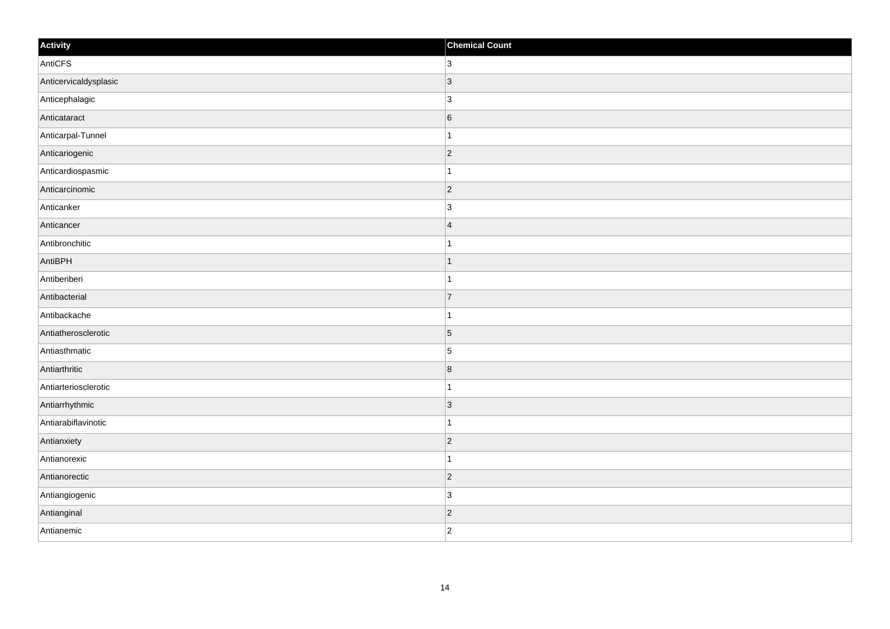| Activity              | <b>Chemical Count</b> |
|-----------------------|-----------------------|
| AntiCFS               | 3                     |
| Anticervicaldysplasic | 3                     |
| Anticephalagic        | $\overline{3}$        |
| Anticataract          | 6                     |
| Anticarpal-Tunnel     | $\mathbf{1}$          |
| Anticariogenic        | $ 2\rangle$           |
| Anticardiospasmic     | $\mathbf{1}$          |
| Anticarcinomic        | $ 2\rangle$           |
| Anticanker            | $\overline{3}$        |
| Anticancer            | $\overline{4}$        |
| Antibronchitic        | $\mathbf{1}$          |
| AntiBPH               | 1                     |
| Antiberiberi          | $\mathbf{1}$          |
| Antibacterial         | $\overline{7}$        |
| Antibackache          | $\overline{1}$        |
| Antiatherosclerotic   | $\vert$ 5             |
| Antiasthmatic         | $\overline{5}$        |
| Antiarthritic         | 8                     |
| Antiarteriosclerotic  | $\mathbf{1}$          |
| Antiarrhythmic        | 3                     |
| Antiarabiflavinotic   | $\mathbf{1}$          |
| Antianxiety           | $ 2\rangle$           |
| Antianorexic          | $\mathbf 1$           |
| Antianorectic         | $ 2\rangle$           |
| Antiangiogenic        | 3                     |
| Antianginal           | $ 2\rangle$           |
| Antianemic            | $\overline{2}$        |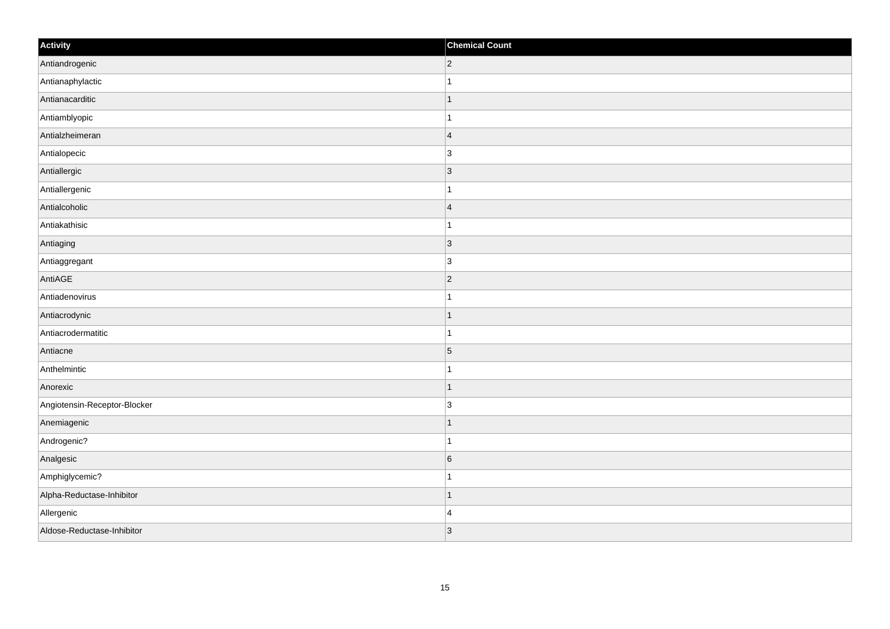| Activity                     | <b>Chemical Count</b> |
|------------------------------|-----------------------|
| Antiandrogenic               | $ 2\rangle$           |
| Antianaphylactic             | $\mathbf{1}$          |
| Antianacarditic              | $\mathbf{1}$          |
| Antiamblyopic                | $\mathbf{1}$          |
| Antialzheimeran              | $\vert 4$             |
| Antialopecic                 | $\vert$ 3             |
| Antiallergic                 | $ 3\rangle$           |
| Antiallergenic               | $\mathbf{1}$          |
| Antialcoholic                | $\vert 4$             |
| Antiakathisic                | $\mathbf{1}$          |
| Antiaging                    | $\vert$ 3             |
| Antiaggregant                | $\vert$ 3             |
| AntiAGE                      | $ 2\rangle$           |
| Antiadenovirus               | $\mathbf{1}$          |
| Antiacrodynic                | $\mathbf{1}$          |
| Antiacrodermatitic           | $\mathbf{1}$          |
| Antiacne                     | $\overline{5}$        |
| Anthelmintic                 | $\mathbf{1}$          |
| Anorexic                     | $\vert$ 1             |
| Angiotensin-Receptor-Blocker | $\vert$ 3             |
| Anemiagenic                  | $\vert$ 1             |
| Androgenic?                  | $\mathbf{1}$          |
| Analgesic                    | $6\overline{6}$       |
| Amphiglycemic?               | $\mathbf{1}$          |
| Alpha-Reductase-Inhibitor    | $\vert$ 1             |
| Allergenic                   | 4                     |
| Aldose-Reductase-Inhibitor   | 3                     |